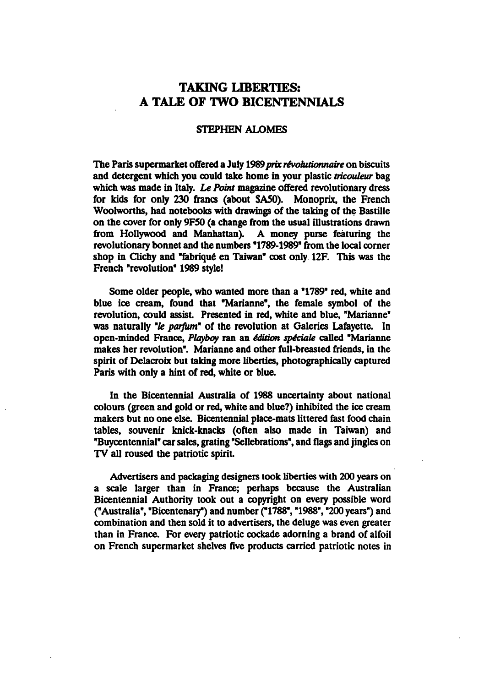## TAKING LIBERTIES: TALE OF TWO BICENTENNIALS

## STEPHEN ALOMES

The Paris supermarket offered a July 1989 prix révolutionnaire on biscuits and detergent which you could take home in your plastic tricouleur bag which was made in Italy. Le Point magazine offered revolutionary dress for kids for only 230 francs (about SA50). Monoprix, the French Woolworths, had notebooks with drawings of the taking of the Bastille on the cover for only 9F50 (a change from the usual illustrations drawn from Hollywood and Manhattan). A money purse featuring the revolutionary bonnet and the numbers "1789-1989" from the local corner shop in Clichy and "fabrique en Taiwan" cost only 12F. This was the French "revolution" 1989 style!

Some older people, who wanted more than a "1789" red, white and blue ice cream, found that "Marianne", the female symbol of the revolution, could assist. Presented in red, white and blue, "Marianne" was naturally "le parfum" of the revolution at Galeries Lafayette. In open-minded France, Playboy ran an édition spéciale called "Marianne makes her revolution". Marianne and other full-breasted friends, in the spirit of Delacroix but taking more liberties, photographically captured Paris with only a hint of red, white or blue.

In the Bicentennial Australia of 1988 uncertainty about national colours (green and gold or red, white and blue?) inhibited the ice cream makers but no one else. Bicentennial place-mats littered fast food chain tables, souvenir knick-knacks (often also made in Taiwan) and "Buycentennial" car sales, grating "Sellebrations", and flags and jingles on TV all roused the patriotic spirit

Advertisers and packaging designers took liberties with 200 years on a scale larger than in France; perhaps because the Australian Bicentennial Authority took out a copyright on every possible word ("Australia", "Bicentenary") and number ("1788", "1988", "200 years") and combination and then sold it to advertisers, the deluge was even greater than in France. For every patriotic cockade adorning a brand of alfoil on French supermarket shelves five products carried patriotic notes in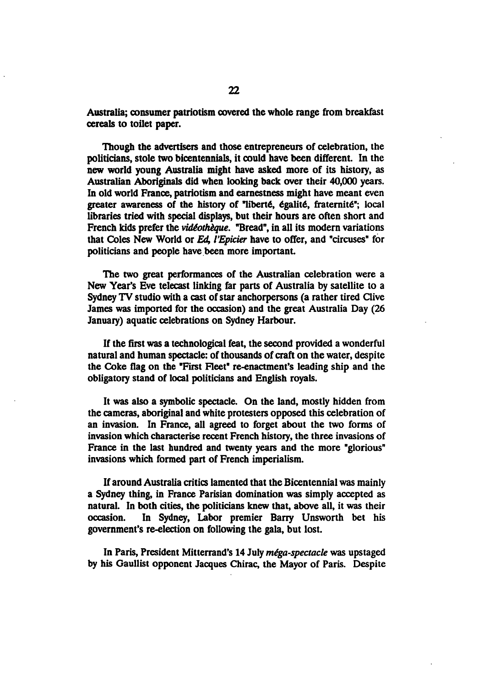Australia; consumer patriotism covered the whole range from breakfast cereals to toilet paper.

Though the advertisers and those entrepreneurs of celebration, the politicians, stole two bicentennials, it could have been different. In the new world young Australia might have asked more of its history, as Australian Aboriginals did when looking back over their 40,000 years. In old world France, patriotism and earnestness might have meant even greater awareness of the history of "liberté, égalité, fraternité"; local libraries tried with special displays, but their hours are often short and French kids prefer the *vidéothèque*. "Bread", in all its modern variations that Coles New World or Ed, I'Epicier have to offer, and "circuses" for politicians and people have been more important

The two great performances of the Australian celebration were a New Year's Eve telecast linking far parts of Australia by satellite to Sydney TV studio with a cast of star anchorpersons (a rather tired Clive James was imported for the occasion) and the great Australia Day (26 January) aquatic celebrations on Sydney Harbour.

If the first was a technological feat, the second provided a wonderful natural and human spectacle: of thousands of craft on the water, despite the Coke flag on the "First Fleet" re-enactment's leading ship and the obligatory stand of local politicians and English royals.

It was also a symbolic spectacle. On the land, mostly hidden from the cameras, aboriginal and white protesters opposed this celebration of an invasion. In France, all agreed to forget about the two forms of invasion which characterise recent French history, the three invasions of France in the last hundred and twenty years and the more "glorious" invasions which formed part of French imperialism.

If around Australia critics lamented that the Bicentennial was mainly a Sydney thing, in France Parisian domination was simply accepted as natural. In both cities, the politicians knew that, above all, it was their occasion. In Sydney, Labor premier Barry Unsworth bet his government's re-election on following the gala, but lost.

In Paris, President Mitterrand's 14 July *méga-spectacle* was upstaged by his Gaullist opponent Jacques Chirac, the Mayor of Paris. Despite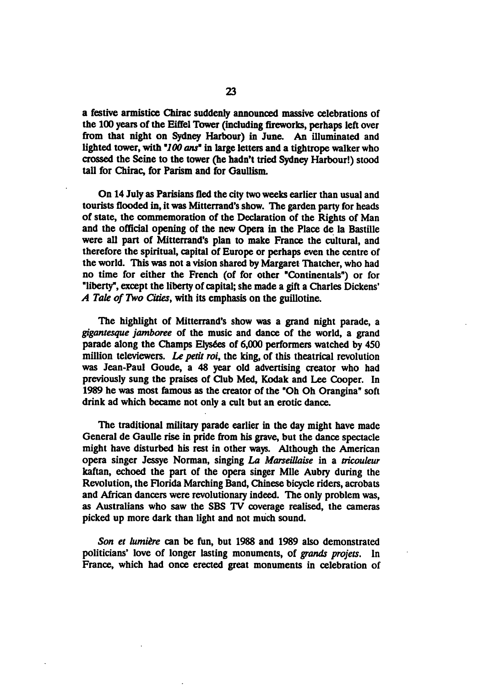a festive armistice Chirac suddenly announced massive celebrations of the 100 years of the Eiffel Tower (including fireworks, perhaps left over from that night on Sydney Harbour) in June. An illuminated and lighted tower, with "100 ans" in large letters and a tightrope walker who crossed the Seine to the tower (he hadn't tried Sydney Harbour!) stood tall for Chirac, for Parism and for Gaullism.

On 14 July as Parisians fled the city two weeks earlier than usual and tourists flooded in, it was Mitterrand's show. The garden party for heads of state, the commemoration of the Declaration of the Rights of Man and the official opening of the new Opera in the Place de la Bastille were all part of Mitterrand's plan to make France the cultural, and therefore the spiritual, capital of Europe or perhaps even the centre of the world. This was not a vision shared by Margaret Thatcher, who had no time for either the French (of for other "Continentals") or for "liberty", except the liberty of capital; she made a gift a Charles Dickens' A Tale of Two Cities, with its emphasis on the guillotine.

The highlight of Mitterrand's show was a grand night parade, a gigantesque jamboree of the music and dance of the world, a grand parade along the Champs Elysées of 6,000 performers watched by 450 million televiewers. Le petit roi, the king, of this theatrical revolution was Jean-Paul Goude, a 48 year old advertising creator who had previously sung the praises of Club Med, Kodak and Lee Cooper. In 1989 he was most famous as the creator of the "Oh Oh Orangina" soft drink ad which became not only a cult but an erotic dance.

The traditional military parade earlier in the day might have made General de Gaulle rise in pride from his grave, but the dance spectacle might have disturbed his rest in other ways. Although the American opera singer Jessye Norman, singing La Marseillaise in a tricouleur kaftan, echoed the part of the opera singer Mile Aubry during the Revolution, the Florida Marching Band, Chinese bicycle riders, acrobats and African dancers were revolutionary indeed. The only problem was, as Australians who saw the SBS TV coverage realised, the cameras picked up more dark than light and not much sound.

Son et lumière can be fun, but 1988 and 1989 also demonstrated politicians' love of longer lasting monuments, of grands projets. In France, which had once erected great monuments in celebration of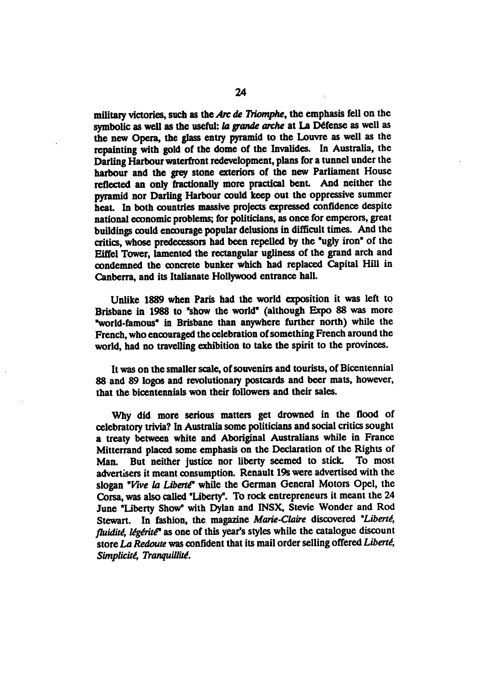military victories, such as the Arc de Triomphe, the emphasis fell on the symbolic as well as the useful: la grande arche at La Défense as well as the new Opera, the glass entry pyramid to the Louvre as well as the repainting with gold of the dome of the Invalides. In Australia, the Darling Harbour waterfront redevelopment, plans for a tunnel under the harbour and the grey stone exteriors of the new Parliament House reflected an only fractionally more practical bent. And neither the pyramid nor Darling Harbour could keep out the oppressive summer heat In both countries massive projects expressed confidence despite national economic problems; for politicians, as once for emperors, great buildings could encourage popular delusions in difficult times. And the critics, whose predecessors had been repelled by the "ugly iron" of the Eiffel Tower, lamented the rectangular ugliness of the grand arch and condemned the concrete bunker which had replaced Capital Hill in Canberra, and its Italianate Hollywood entrance hall.

Unlike 1889 when Paris had the world exposition it was left to Brisbane in 1988 to "show the world" (although Expo 88 was more "world-famous" in Brisbane than anywhere further north) while the French, who encouraged the celebration of something French around the world, had no travelling exhibition to take the spirit to the provinces.

It was on the smaller scale, of souvenirs and tourists, of Bicentennial 88 and 89 logos and revolutionary postcards and beer mats, however, that the bicentennials won their followers and their sales.

Why did more serious matters get drowned in the flood of celebratory trivia? In Australia some politicians and social critics sought a treaty between white and Aboriginal Australians while in France Mitterrand placed some emphasis on the Declaration of the Rights of Man. But neither justice nor liberty seemed to stick. To most advertisers it meant consumption. Renault 19s were advertised with the slogan "Vive la Liberté" while the German General Motors Opel, the Corsa, was also called "Liberty". To rock entrepreneurs it meant the 24 June "Liberty Show" with Dylan and INSX, Stevie Wonder and Rod Stewart. In fashion, the magazine Marie-Claire discovered "Liberté, fluidité, légérité<sup>®</sup> as one of this year's styles while the catalogue discount store La Redoute was confident that its mail order selling offered Liberté, Simplicité, Tranquillité.